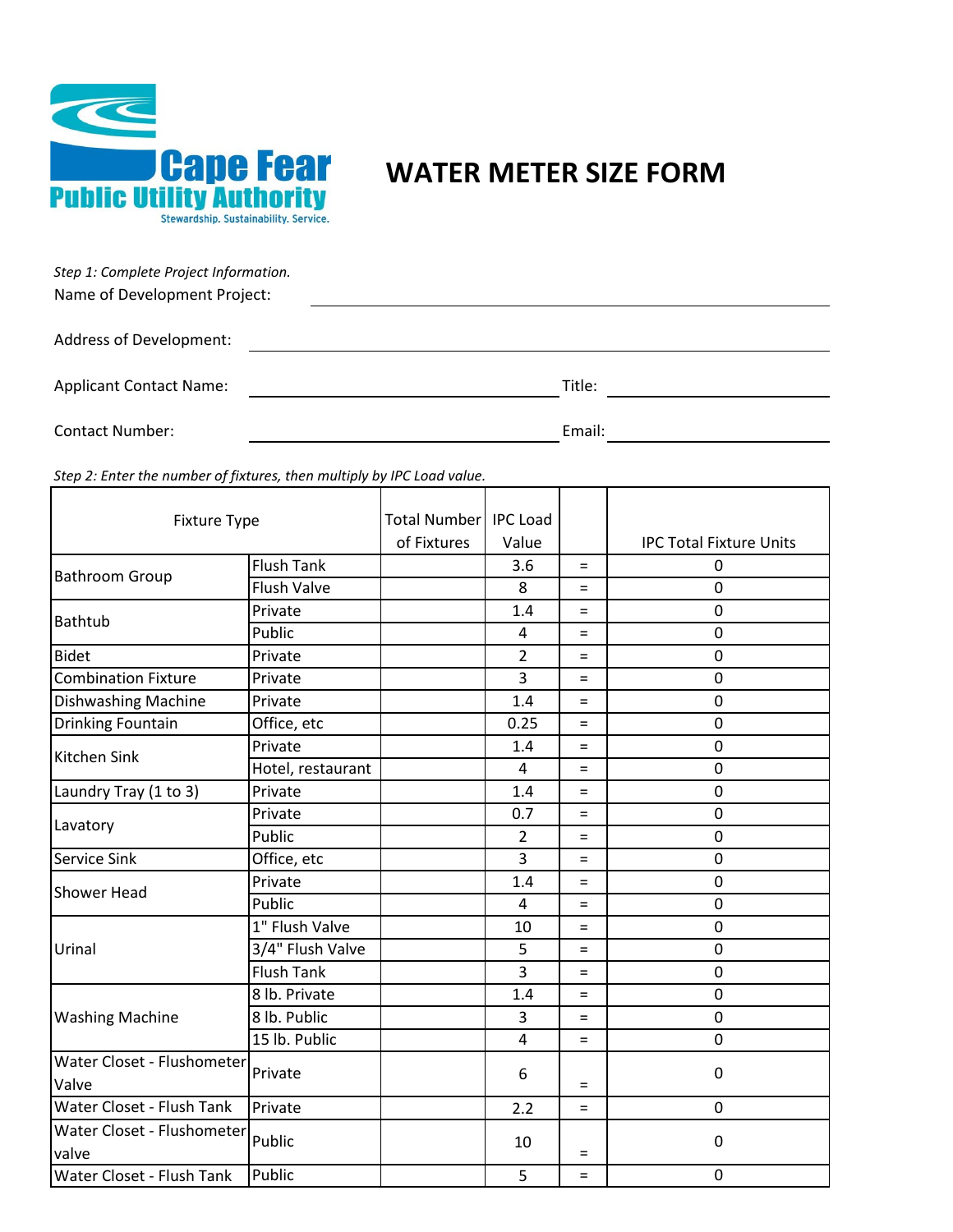

## **WATER METER SIZE FORM**

| Step 1: Complete Project Information. |        |
|---------------------------------------|--------|
| Name of Development Project:          |        |
| Address of Development:               |        |
| <b>Applicant Contact Name:</b>        | Title: |
| <b>Contact Number:</b>                | Email: |

*Step 2: Enter the number of fixtures, then multiply by IPC Load value.*

| <b>Fixture Type</b>        |                    | Total Number   IPC Load |                |     |                                |
|----------------------------|--------------------|-------------------------|----------------|-----|--------------------------------|
|                            |                    | of Fixtures             | Value          |     | <b>IPC Total Fixture Units</b> |
| <b>Bathroom Group</b>      | <b>Flush Tank</b>  |                         | 3.6            | $=$ | 0                              |
|                            | <b>Flush Valve</b> |                         | 8              | $=$ | 0                              |
| <b>Bathtub</b>             | Private            |                         | 1.4            | $=$ | 0                              |
|                            | Public             |                         | 4              | $=$ | $\mathbf 0$                    |
| <b>Bidet</b>               | Private            |                         | $\overline{2}$ | $=$ | $\mathbf 0$                    |
| <b>Combination Fixture</b> | Private            |                         | 3              | $=$ | $\mathbf 0$                    |
| Dishwashing Machine        | Private            |                         | 1.4            | $=$ | 0                              |
| Drinking Fountain          | Office, etc        |                         | 0.25           | $=$ | 0                              |
| Kitchen Sink               | Private            |                         | 1.4            | $=$ | $\pmb{0}$                      |
|                            | Hotel, restaurant  |                         | $\overline{4}$ | $=$ | $\overline{0}$                 |
| Laundry Tray (1 to 3)      | Private            |                         | 1.4            | $=$ | $\mathbf 0$                    |
|                            | Private            |                         | 0.7            | $=$ | $\mathbf 0$                    |
| Lavatory                   | Public             |                         | 2              | $=$ | $\mathbf 0$                    |
| Service Sink               | Office, etc        |                         | 3              | $=$ | $\mathbf 0$                    |
| Shower Head                | Private            |                         | 1.4            | $=$ | 0                              |
|                            | Public             |                         | $\overline{4}$ | $=$ | 0                              |
|                            | 1" Flush Valve     |                         | 10             | $=$ | 0                              |
| Urinal                     | 3/4" Flush Valve   |                         | 5              | $=$ | 0                              |
|                            | <b>Flush Tank</b>  |                         | 3              | $=$ | $\mathbf 0$                    |
| <b>Washing Machine</b>     | 8 lb. Private      |                         | 1.4            | $=$ | 0                              |
|                            | 8 lb. Public       |                         | 3              | $=$ | 0                              |
|                            | 15 lb. Public      |                         | 4              | $=$ | 0                              |
| Water Closet - Flushometer |                    |                         |                |     |                                |
| Valve                      | Private            |                         | 6              | $=$ | $\pmb{0}$                      |
| Water Closet - Flush Tank  | Private            |                         | 2.2            | $=$ | $\mathbf 0$                    |
| Water Closet - Flushometer |                    |                         |                |     |                                |
| valve                      | Public             |                         | 10             | $=$ | 0                              |
| Water Closet - Flush Tank  | Public             |                         | 5              | $=$ | $\pmb{0}$                      |